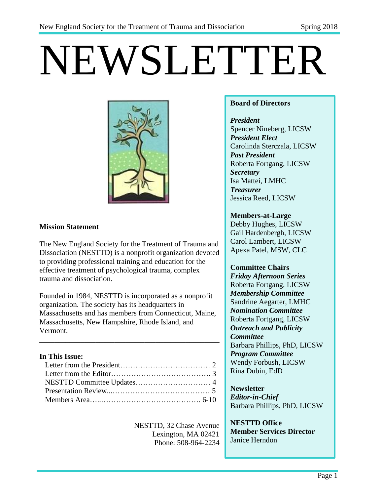# NEWSLETTER



### **Mission Statement**

The New England Society for the Treatment of Trauma and Dissociation (NESTTD) is a nonprofit organization devoted to providing professional training and education for the effective treatment of psychological trauma, complex trauma and dissociation.

Founded in 1984, NESTTD is incorporated as a nonprofit organization. The society has its headquarters in Massachusetts and has members from Connecticut, Maine, Massachusetts, New Hampshire, Rhode Island, and Vermont.

**\_\_\_\_\_\_\_\_\_\_\_\_\_\_\_\_\_\_\_\_\_\_\_\_\_\_\_\_\_\_\_\_\_\_\_\_\_\_\_\_\_\_\_\_\_\_\_\_**

### **In This Issue:**

NESTTD, 32 Chase Avenue Lexington, MA 02421 Phone: 508-964-2234

### **Board of Directors**

*President* Spencer Nineberg, LICSW *President Elect* Carolinda Sterczala, LICSW *Past President* Roberta Fortgang, LICSW *Secretary* Isa Mattei, LMHC *Treasurer*  Jessica Reed, LICSW

### **Members-at-Large**

Debby Hughes, LICSW Gail Hardenbergh, LICSW Carol Lambert, LICSW Apexa Patel, MSW, CLC

### **Committee Chairs**

*Friday Afternoon Series* Roberta Fortgang, LICSW *Membership Committee* Sandrine Aegarter, LMHC *Nomination Committee* Roberta Fortgang, LICSW *Outreach and Publicity Committee* Barbara Phillips, PhD, LICSW *Program Committee* Wendy Forbush, LICSW Rina Dubin, EdD

### **Newsletter** *Editor-in-Chief* Barbara Phillips, PhD, LICSW

**NESTTD Office Member Services Director** Janice Herndon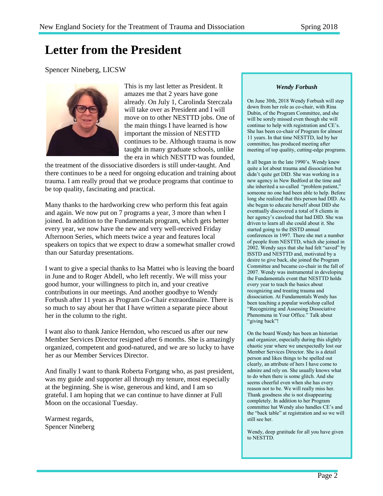# **Letter from the President**

Spencer Nineberg, LICSW



This is my last letter as President. It amazes me that 2 years have gone already. On July 1, Carolinda Sterczala will take over as President and I will move on to other NESTTD jobs. One of the main things I have learned is how important the mission of NESTTD continues to be. Although trauma is now taught in many graduate schools, unlike the era in which NESTTD was founded,

the treatment of the dissociative disorders is still under-taught. And there continues to be a need for ongoing education and training about trauma. I am really proud that we produce programs that continue to be top quality, fascinating and practical.

Many thanks to the hardworking crew who perform this feat again and again. We now put on 7 programs a year, 3 more than when I joined. In addition to the Fundamentals program, which gets better every year, we now have the new and very well-received Friday Afternoon Series, which meets twice a year and features local speakers on topics that we expect to draw a somewhat smaller crowd than our Saturday presentations.

I want to give a special thanks to Isa Mattei who is leaving the board in June and to Roger Abdell, who left recently. We will miss your good humor, your willingness to pitch in, and your creative contributions in our meetings. And another goodbye to Wendy Forbush after 11 years as Program Co-Chair extraordinaire. There is so much to say about her that I have written a separate piece about her in the column to the right.

I want also to thank Janice Herndon, who rescued us after our new Member Services Director resigned after 6 months. She is amazingly organized, competent and good-natured, and we are so lucky to have her as our Member Services Director.

And finally I want to thank Roberta Fortgang who, as past president, was my guide and supporter all through my tenure, most especially at the beginning. She is wise, generous and kind, and I am so grateful. I am hoping that we can continue to have dinner at Full Moon on the occasional Tuesday.

Warmest regards, Spencer Nineberg

#### *Wendy Forbush*

On June 30th, 2018 Wendy Forbush will step down from her role as co-chair, with Rina Dubin, of the Program Committee, and she will be sorely missed even though she will continue to help with registration and CE's. She has been co-chair of Program for almost 11 years. In that time NESTTD, led by her committee, has produced meeting after meeting of top quality, cutting-edge programs.

It all began in the late 1990's. Wendy knew quite a lot about trauma and dissociation but didn't quite get DID. She was working in a new agency in New Bedford at the time and she inherited a so-called "problem patient," someone no one had been able to help. Before long she realized that this person had DID. As she began to educate herself about DID she eventually discovered a total of 8 clients in her agency's caseload that had DID. She was driven to learn all she could about it. She started going to the ISSTD annual conferences in 1997. There she met a number of people from NESTTD, which she joined in 2002. Wendy says that she had felt "saved" by ISSTD and NESTTD and, motivated by a desire to give back, she joined the Program Committee and became co-chair in the fall of 2007. Wendy was instrumental in developing the Fundamentals event that NESTTD holds every year to teach the basics about recognizing and treating trauma and dissociation. At Fundamentals Wendy has been teaching a popular workshop called "Recognizing and Assessing Dissociative Phenomena in Your Office." Talk about "giving back"!

On the board Wendy has been an historian and organizer, especially during this slightly chaotic year where we unexpectedly lost our Member Services Director. She is a detail person and likes things to be spelled out clearly, an attribute of hers I have come to admire and rely on. She usually knows what to do when there is some glitch. And she seems cheerful even when she has every reason not to be. We will really miss her. Thank goodness she is not disappearing completely. In addition to her Program committee hat Wendy also handles CE's and the "back table" at registration and so we will still see her.

Wendy, deep gratitude for all you have given to NESTTD.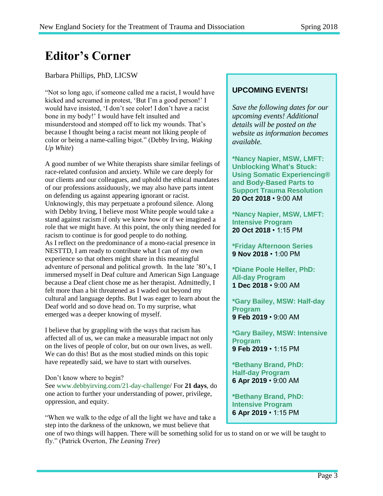# **Editor's Corner**

### Barbara Phillips, PhD, LICSW

"Not so long ago, if someone called me a racist, I would have kicked and screamed in protest, 'But I'm a good person!' I would have insisted, 'I don't see color! I don't have a racist bone in my body!' I would have felt insulted and misunderstood and stomped off to lick my wounds. That's because I thought being a racist meant not liking people of color or being a name-calling bigot." (Debby Irving, *Waking Up White*)

A good number of we White therapists share similar feelings of race-related confusion and anxiety. While we care deeply for our clients and our colleagues, and uphold the ethical mandates of our professions assiduously, we may also have parts intent on defending us against appearing ignorant or racist. Unknowingly, this may perpetuate a profound silence. Along with Debby Irving, I believe most White people would take a stand against racism if only we knew how or if we imagined a role that we might have. At this point, the only thing needed for racism to continue is for good people to do nothing. As I reflect on the predominance of a mono-racial presence in NESTTD, I am ready to contribute what I can of my own experience so that others might share in this meaningful adventure of personal and political growth. In the late '80's, I immersed myself in Deaf culture and American Sign Language because a Deaf client chose me as her therapist. Admittedly, I felt more than a bit threatened as I waded out beyond my cultural and language depths. But I was eager to learn about the Deaf world and so dove head on. To my surprise, what emerged was a deeper knowing of myself.

I believe that by grappling with the ways that racism has affected all of us, we can make a measurable impact not only on the lives of people of color, but on our own lives, as well. We can do this! But as the most studied minds on this topic have repeatedly said, we have to start with ourselves.

### Don't know where to begin?

See www.debbyirving.com/21-day-challenge/ For **21 days**, do one action to further your understanding of power, privilege, oppression, and equity.

"When we walk to the edge of all the light we have and take a step into the darkness of the unknown, we must believe that

### one of two things will happen. There will be something solid for us to stand on or we will be taught to fly." (Patrick Overton, *The Leaning Tree*)

### **UPCOMING EVENTS!**

*Save the following dates for our upcoming events! Additional details will be posted on the website as information becomes available.*

**\*Nancy Napier, MSW, LMFT: Unblocking What's Stuck: Using Somatic Experiencing® and Body-Based Parts to Support Trauma Resolution 20 Oct 2018** • 9:00 AM

**[\\*Nancy Napier, MSW, LMFT:](http://www.nesttd-online.org/event-2630813)  [Intensive Program](http://www.nesttd-online.org/event-2630813)  20 Oct 2018** • 1:15 PM

**\*Friday Afternoon Series 9 Nov 2018** • 1:00 PM

**\*Diane Poole Heller, PhD: All-day Program 1 Dec 2018** • 9:00 AM

**\*Gary Bailey, MSW: Half-day Program 9 Feb 2019** • 9:00 AM

**\*Gary Bailey, MSW: Intensive Program 9 Feb 2019** • 1:15 PM

**\*Bethany Brand, PhD: Half-day Program 6 Apr 2019** • 9:00 AM

**\*Bethany Brand, PhD: Intensive Program 6 Apr 2019** • 1:15 PM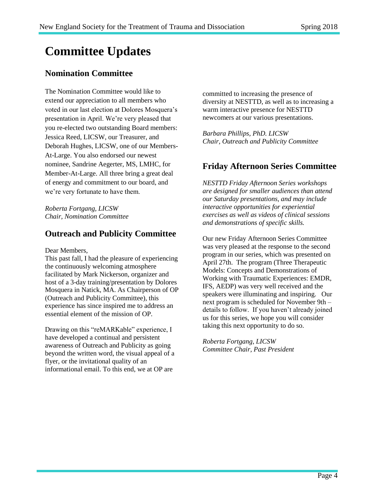# **Committee Updates**

# **Nomination Committee**

The Nomination Committee would like to extend our appreciation to all members who voted in our last election at Dolores Mosquera's presentation in April. We're very pleased that you re-elected two outstanding Board members: Jessica Reed, LICSW, our Treasurer, and Deborah Hughes, LICSW, one of our Members-At-Large. You also endorsed our newest nominee, Sandrine Aegerter, MS, LMHC, for Member-At-Large. All three bring a great deal of energy and commitment to our board, and we're very fortunate to have them.

*Roberta Fortgang, LICSW Chair, Nomination Committee*

## **Outreach and Publicity Committee**

Dear Members,

This past fall, I had the pleasure of experiencing the continuously welcoming atmosphere facilitated by Mark Nickerson, organizer and host of a 3-day training/presentation by Dolores Mosquera in Natick, MA. As Chairperson of OP (Outreach and Publicity Committee), this experience has since inspired me to address an essential element of the mission of OP.

Drawing on this "reMARKable" experience, I have developed a continual and persistent awareness of Outreach and Publicity as going beyond the written word, the visual appeal of a flyer, or the invitational quality of an informational email. To this end, we at OP are

committed to increasing the presence of diversity at NESTTD, as well as to increasing a warm interactive presence for NESTTD newcomers at our various presentations.

*Barbara Phillips, PhD. LICSW Chair, Outreach and Publicity Committee*

## **Friday Afternoon Series Committee**

*NESTTD Friday Afternoon Series workshops are designed for smaller audiences than attend our Saturday presentations, and may include interactive opportunities for experiential exercises as well as videos of clinical sessions and demonstrations of specific skills.*

Our new Friday Afternoon Series Committee was very pleased at the response to the second program in our series, which was presented on April 27th. The program (Three Therapeutic Models: Concepts and Demonstrations of Working with Traumatic Experiences: EMDR, IFS, AEDP) was very well received and the speakers were illuminating and inspiring. Our next program is scheduled for November 9th – details to follow. If you haven't already joined us for this series, we hope you will consider taking this next opportunity to do so.

*Roberta Fortgang, LICSW Committee Chair, Past President*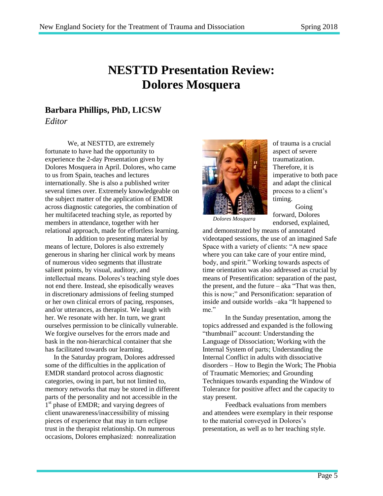# **NESTTD Presentation Review: Dolores Mosquera**

## **Barbara Phillips, PhD, LICSW**

*Editor*

We, at NESTTD, are extremely fortunate to have had the opportunity to experience the 2-day Presentation given by Dolores Mosquera in April. Dolores, who came to us from Spain, teaches and lectures internationally. She is also a published writer several times over. Extremely knowledgeable on the subject matter of the application of EMDR across diagnostic categories, the combination of her multifaceted teaching style, as reported by members in attendance, together with her relational approach, made for effortless learning.

In addition to presenting material by means of lecture, Dolores is also extremely generous in sharing her clinical work by means of numerous video segments that illustrate salient points, by visual, auditory, and intellectual means. Dolores's teaching style does not end there. Instead, she episodically weaves in discretionary admissions of feeling stumped or her own clinical errors of pacing, responses, and/or utterances, as therapist. We laugh with her. We resonate with her. In turn, we grant ourselves permission to be clinically vulnerable. We forgive ourselves for the errors made and bask in the non-hierarchical container that she has facilitated towards our learning.

 In the Saturday program, Dolores addressed some of the difficulties in the application of EMDR standard protocol across diagnostic categories, owing in part, but not limited to, memory networks that may be stored in different parts of the personality and not accessible in the 1<sup>st</sup> phase of EMDR; and varying degrees of client unawareness/inaccessibility of missing pieces of experience that may in turn eclipse trust in the therapist relationship. On numerous occasions, Dolores emphasized: nonrealization



of trauma is a crucial aspect of severe traumatization. Therefore, it is imperative to both pace and adapt the clinical process to a client's timing.

*Dolores Mosquera*

Going forward, Dolores endorsed, explained,

and demonstrated by means of annotated videotaped sessions, the use of an imagined Safe Space with a variety of clients: "A new space where you can take care of your entire mind, body, and spirit." Working towards aspects of time orientation was also addressed as crucial by means of Presentification: separation of the past, the present, and the future – aka "That was then, this is now;" and Personification: separation of inside and outside worlds –aka "It happened to me."

In the Sunday presentation, among the topics addressed and expanded is the following "thumbnail" account: Understanding the Language of Dissociation; Working with the Internal System of parts; Understanding the Internal Conflict in adults with dissociative disorders – How to Begin the Work; The Phobia of Traumatic Memories; and Grounding Techniques towards expanding the Window of Tolerance for positive affect and the capacity to stay present.

Feedback evaluations from members and attendees were exemplary in their response to the material conveyed in Dolores's presentation, as well as to her teaching style.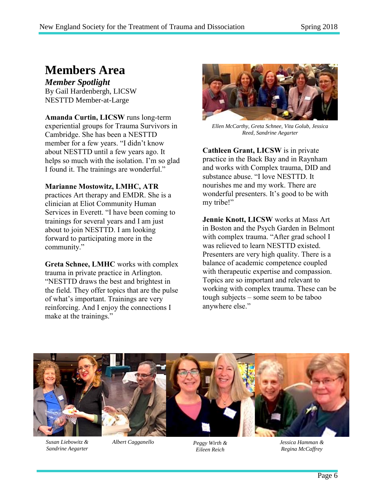# **Members Area**

*Member Spotlight* By Gail Hardenbergh, LICSW NESTTD Member-at-Large

**Amanda Curtin, LICSW** runs long-term experiential groups for Trauma Survivors in Cambridge. She has been a NESTTD member for a few years. "I didn't know about NESTTD until a few years ago. It helps so much with the isolation. I'm so glad I found it. The trainings are wonderful."

### **Marianne Mostowitz, LMHC, ATR**

practices Art therapy and EMDR. She is a clinician at Eliot Community Human Services in Everett. "I have been coming to trainings for several years and I am just about to join NESTTD. I am looking forward to participating more in the community."

**Greta Schnee, LMHC** works with complex trauma in private practice in Arlington. "NESTTD draws the best and brightest in the field. They offer topics that are the pulse of what's important. Trainings are very reinforcing. And I enjoy the connections I make at the trainings."



*Ellen McCarthy, Greta Schnee, Vita Golub, Jessica Reed, Sandrine Aegarter*

**Cathleen Grant, LICSW** is in private practice in the Back Bay and in Raynham and works with Complex trauma, DID and substance abuse. "I love NESTTD. It nourishes me and my work. There are wonderful presenters. It's good to be with my tribe!"

**Jennie Knott, LICSW** works at Mass Art in Boston and the Psych Garden in Belmont with complex trauma. "After grad school I was relieved to learn NESTTD existed. Presenters are very high quality. There is a balance of academic competence coupled with therapeutic expertise and compassion. Topics are so important and relevant to working with complex trauma. These can be tough subjects – some seem to be taboo anywhere else."



*Susan Liebowitz & Sandrine Aegarter*

*Albert Cagganello Peggy Wirth &* 

*Eileen Reich*

*Jessica Hamman & Regina McCaffrey*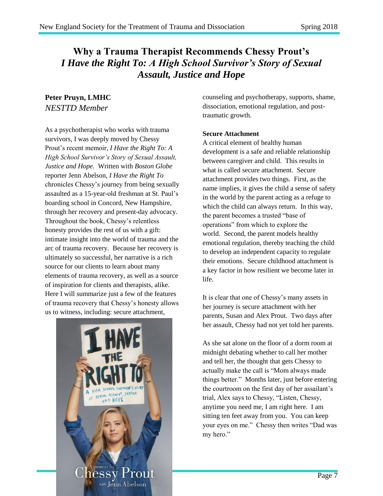# **Why a Trauma Therapist Recommends Chessy Prout's** *I Have the Right To: A High School Survivor's Story of Sexual Assault, Justice and Hope*

### **Peter Pruyn, LMHC** *NESTTD Member*

As a psychotherapist who works with trauma survivors, I was deeply moved by Chessy Prout's recent memoir, *I Have the Right To: A High School Survivor's Story of Sexual Assault, Justice and Hope.* Written with *Boston Globe* reporter Jenn Abelson, *I Have the Right To* chronicles Chessy's journey from being sexually assaulted as a 15-year-old freshman at St. Paul's boarding school in Concord, New Hampshire, through her recovery and present-day advocacy. Throughout the book, Chessy's relentless honesty provides the rest of us with a gift: intimate insight into the world of trauma and the arc of trauma recovery. Because her recovery is ultimately so successful, her narrative is a rich source for our clients to learn about many elements of trauma recovery, as well as a source of inspiration for clients and therapists, alike. Here I will summarize just a few of the features of trauma recovery that Chessy's honesty allows us to witness, including: secure attachment,



counseling and psychotherapy, supports, shame, dissociation, emotional regulation, and posttraumatic growth.

### **Secure Attachment**

A critical element of healthy human development is a safe and reliable relationship between caregiver and child. This results in what is called secure attachment. Secure attachment provides two things. First, as the name implies, it gives the child a sense of safety in the world by the parent acting as a refuge to which the child can always return. In this way, the parent becomes a trusted "base of operations" from which to explore the world. Second, the parent models healthy emotional regulation, thereby teaching the child to develop an independent capacity to regulate their emotions. Secure childhood attachment is a key factor in how resilient we become later in life.

It is clear that one of Chessy's many assets in her journey is secure attachment with her parents, Susan and Alex Prout. Two days after her assault, Chessy had not yet told her parents.

As she sat alone on the floor of a dorm room at midnight debating whether to call her mother and tell her, the thought that gets Chessy to actually make the call is "Mom always made things better." Months later, just before entering the courtroom on the first day of her assailant's trial, Alex says to Chessy, "Listen, Chessy, anytime you need me, I am right here. I am sitting ten feet away from you. You can keep your eyes on me." Chessy then writes "Dad was my hero."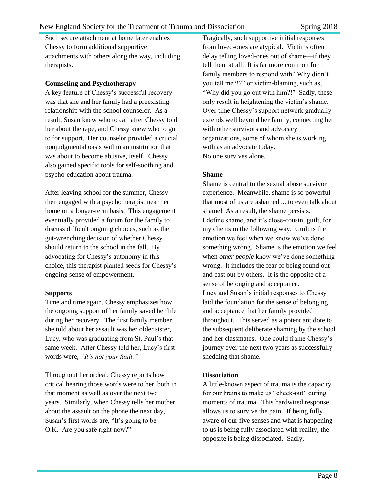Such secure attachment at home later enables Chessy to form additional supportive attachments with others along the way, including therapists.

#### **Counseling and Psychotherapy**

A key feature of Chessy's successful recovery was that she and her family had a preexisting relationship with the school counselor. As a result, Susan knew who to call after Chessy told her about the rape, and Chessy knew who to go to for support. Her counselor provided a crucial nonjudgmental oasis within an institution that was about to become abusive, itself. Chessy also gained specific tools for self-soothing and psycho-education about trauma.

After leaving school for the summer, Chessy then engaged with a psychotherapist near her home on a longer-term basis. This engagement eventually provided a forum for the family to discuss difficult ongoing choices, such as the gut-wrenching decision of whether Chessy should return to the school in the fall. By advocating for Chessy's autonomy in this choice, this therapist planted seeds for Chessy's ongoing sense of empowerment.

### **Supports**

Time and time again, Chessy emphasizes how the ongoing support of her family saved her life during her recovery. The first family member she told about her assault was her older sister, Lucy, who was graduating from St. Paul's that same week. After Chessy told her, Lucy's first words were, *"It's not your fault."* 

Throughout her ordeal, Chessy reports how critical hearing those words were to her, both in that moment as well as over the next two years. Similarly, when Chessy tells her mother about the assault on the phone the next day, Susan's first words are, "It's going to be O.K. Are you safe right now?"

Tragically, such supportive initial responses from loved-ones are atypical. Victims often delay telling loved-ones out of shame—if they tell them at all. It is far more common for family members to respond with "Why didn't you tell me?!?" or victim-blaming, such as, "Why did you go out with him?!" Sadly, these only result in heightening the victim's shame. Over time Chessy's support network gradually extends well beyond her family, connecting her with other survivors and advocacy organizations, some of whom she is working with as an advocate today. No one survives alone.

### **Shame**

Shame is central to the sexual abuse survivor experience. Meanwhile, shame is so powerful that most of us are ashamed ... to even talk about shame! As a result, the shame persists. I define shame, and it's close-cousin, guilt, for my clients in the following way. Guilt is the emotion we feel when we know we've done something wrong. Shame is the emotion we feel when *other people* know we've done something wrong. It includes the fear of being found out and cast out by others. It is the opposite of a sense of belonging and acceptance. Lucy and Susan's initial responses to Chessy laid the foundation for the sense of belonging and acceptance that her family provided throughout. This served as a potent antidote to the subsequent deliberate shaming by the school and her classmates. One could frame Chessy's journey over the next two years as successfully shedding that shame.

### **Dissociation**

A little-known aspect of trauma is the capacity for our brains to make us "check-out" during moments of trauma. This hardwired response allows us to survive the pain. If being fully aware of our five senses and what is happening to us is being fully associated with reality, the opposite is being dissociated. Sadly,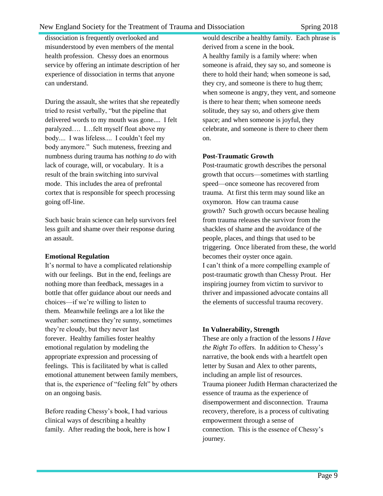dissociation is frequently overlooked and misunderstood by even members of the mental health profession. Chessy does an enormous service by offering an intimate description of her experience of dissociation in terms that anyone can understand.

During the assault, she writes that she repeatedly tried to resist verbally, "but the pipeline that delivered words to my mouth was gone.... I felt paralyzed…. I…felt myself float above my body.... I was lifeless.... I couldn't feel my body anymore." Such muteness, freezing and numbness during trauma has *nothing to do* with lack of courage, will, or vocabulary. It is a result of the brain switching into survival mode. This includes the area of prefrontal cortex that is responsible for speech processing going off-line.

Such basic brain science can help survivors feel less guilt and shame over their response during an assault.

#### **Emotional Regulation**

It's normal to have a complicated relationship with our feelings. But in the end, feelings are nothing more than feedback, messages in a bottle that offer guidance about our needs and choices—if we're willing to listen to them. Meanwhile feelings are a lot like the weather: sometimes they're sunny, sometimes they're cloudy, but they never last forever. Healthy families foster healthy emotional regulation by modeling the appropriate expression and processing of feelings. This is facilitated by what is called emotional attunement between family members, that is, the experience of "feeling felt" by others on an ongoing basis.

Before reading Chessy's book, I had various clinical ways of describing a healthy family. After reading the book, here is how I

would describe a healthy family. Each phrase is derived from a scene in the book. A healthy family is a family where: when someone is afraid, they say so, and someone is there to hold their hand; when someone is sad, they cry, and someone is there to hug them; when someone is angry, they vent, and someone is there to hear them; when someone needs solitude, they say so, and others give them space; and when someone is joyful, they celebrate, and someone is there to cheer them on.

#### **Post-Traumatic Growth**

Post-traumatic growth describes the personal growth that occurs—sometimes with startling speed—once someone has recovered from trauma. At first this term may sound like an oxymoron. How can trauma cause growth? Such growth occurs because healing from trauma releases the survivor from the shackles of shame and the avoidance of the people, places, and things that used to be triggering. Once liberated from these, the world becomes their oyster once again. I can't think of a more compelling example of post-traumatic growth than Chessy Prout. Her inspiring journey from victim to survivor to thriver and impassioned advocate contains all the elements of successful trauma recovery.

### **In Vulnerability, Strength**

These are only a fraction of the lessons *I Have the Right To* offers. In addition to Chessy's narrative, the book ends with a heartfelt open letter by Susan and Alex to other parents, including an ample list of resources. Trauma pioneer Judith Herman characterized the essence of trauma as the experience of disempowerment and disconnection. Trauma recovery, therefore, is a process of cultivating empowerment through a sense of connection. This is the essence of Chessy's journey.